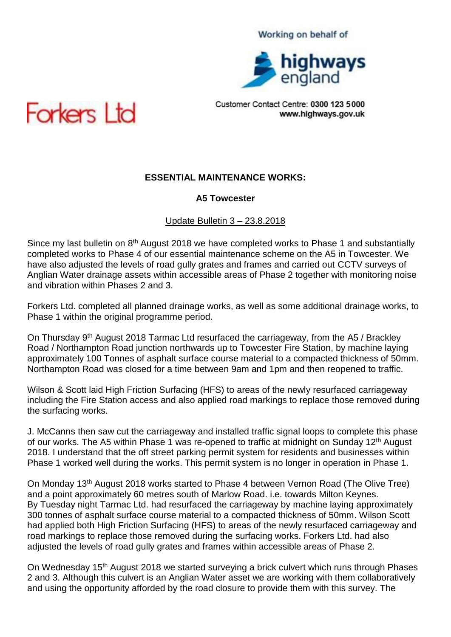#### Working on behalf of



Customer Contact Centre: 0300 123 5000 www.highways.gov.uk



## **ESSENTIAL MAINTENANCE WORKS:**

#### **A5 Towcester**

#### Update Bulletin 3 – 23.8.2018

Since my last bulletin on 8<sup>th</sup> August 2018 we have completed works to Phase 1 and substantially completed works to Phase 4 of our essential maintenance scheme on the A5 in Towcester. We have also adjusted the levels of road gully grates and frames and carried out CCTV surveys of Anglian Water drainage assets within accessible areas of Phase 2 together with monitoring noise and vibration within Phases 2 and 3.

Forkers Ltd. completed all planned drainage works, as well as some additional drainage works, to Phase 1 within the original programme period.

On Thursday 9<sup>th</sup> August 2018 Tarmac Ltd resurfaced the carriageway, from the A5 / Brackley Road / Northampton Road junction northwards up to Towcester Fire Station, by machine laying approximately 100 Tonnes of asphalt surface course material to a compacted thickness of 50mm. Northampton Road was closed for a time between 9am and 1pm and then reopened to traffic.

Wilson & Scott laid High Friction Surfacing (HFS) to areas of the newly resurfaced carriageway including the Fire Station access and also applied road markings to replace those removed during the surfacing works.

J. McCanns then saw cut the carriageway and installed traffic signal loops to complete this phase of our works. The A5 within Phase 1 was re-opened to traffic at midnight on Sunday 12<sup>th</sup> August 2018. I understand that the off street parking permit system for residents and businesses within Phase 1 worked well during the works. This permit system is no longer in operation in Phase 1.

On Monday 13th August 2018 works started to Phase 4 between Vernon Road (The Olive Tree) and a point approximately 60 metres south of Marlow Road. i.e. towards Milton Keynes. By Tuesday night Tarmac Ltd. had resurfaced the carriageway by machine laying approximately 300 tonnes of asphalt surface course material to a compacted thickness of 50mm. Wilson Scott had applied both High Friction Surfacing (HFS) to areas of the newly resurfaced carriageway and road markings to replace those removed during the surfacing works. Forkers Ltd. had also adjusted the levels of road gully grates and frames within accessible areas of Phase 2.

On Wednesday 15<sup>th</sup> August 2018 we started surveying a brick culvert which runs through Phases 2 and 3. Although this culvert is an Anglian Water asset we are working with them collaboratively and using the opportunity afforded by the road closure to provide them with this survey. The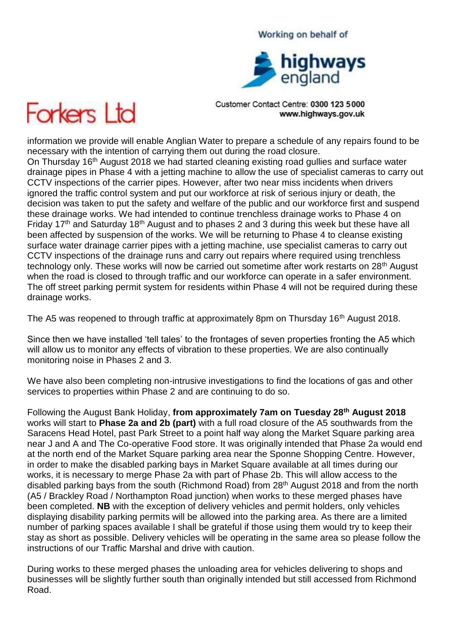# highways<br>england

Working on behalf of

Customer Contact Centre: 0300 123 5000 www.highways.gov.uk



information we provide will enable Anglian Water to prepare a schedule of any repairs found to be necessary with the intention of carrying them out during the road closure.

On Thursday 16<sup>th</sup> August 2018 we had started cleaning existing road gullies and surface water drainage pipes in Phase 4 with a jetting machine to allow the use of specialist cameras to carry out CCTV inspections of the carrier pipes. However, after two near miss incidents when drivers ignored the traffic control system and put our workforce at risk of serious injury or death, the decision was taken to put the safety and welfare of the public and our workforce first and suspend these drainage works. We had intended to continue trenchless drainage works to Phase 4 on Friday 17th and Saturday 18th August and to phases 2 and 3 during this week but these have all been affected by suspension of the works. We will be returning to Phase 4 to cleanse existing surface water drainage carrier pipes with a jetting machine, use specialist cameras to carry out CCTV inspections of the drainage runs and carry out repairs where required using trenchless technology only. These works will now be carried out sometime after work restarts on 28<sup>th</sup> August when the road is closed to through traffic and our workforce can operate in a safer environment. The off street parking permit system for residents within Phase 4 will not be required during these drainage works.

The A5 was reopened to through traffic at approximately 8pm on Thursday 16<sup>th</sup> August 2018.

Since then we have installed 'tell tales' to the frontages of seven properties fronting the A5 which will allow us to monitor any effects of vibration to these properties. We are also continually monitoring noise in Phases 2 and 3.

We have also been completing non-intrusive investigations to find the locations of gas and other services to properties within Phase 2 and are continuing to do so.

Following the August Bank Holiday, **from approximately 7am on Tuesday 28th August 2018**  works will start to **Phase 2a and 2b (part)** with a full road closure of the A5 southwards from the Saracens Head Hotel, past Park Street to a point half way along the Market Square parking area near J and A and The Co-operative Food store. It was originally intended that Phase 2a would end at the north end of the Market Square parking area near the Sponne Shopping Centre. However, in order to make the disabled parking bays in Market Square available at all times during our works, it is necessary to merge Phase 2a with part of Phase 2b. This will allow access to the disabled parking bays from the south (Richmond Road) from 28th August 2018 and from the north (A5 / Brackley Road / Northampton Road junction) when works to these merged phases have been completed. **NB** with the exception of delivery vehicles and permit holders, only vehicles displaying disability parking permits will be allowed into the parking area. As there are a limited number of parking spaces available I shall be grateful if those using them would try to keep their stay as short as possible. Delivery vehicles will be operating in the same area so please follow the instructions of our Traffic Marshal and drive with caution.

During works to these merged phases the unloading area for vehicles delivering to shops and businesses will be slightly further south than originally intended but still accessed from Richmond Road.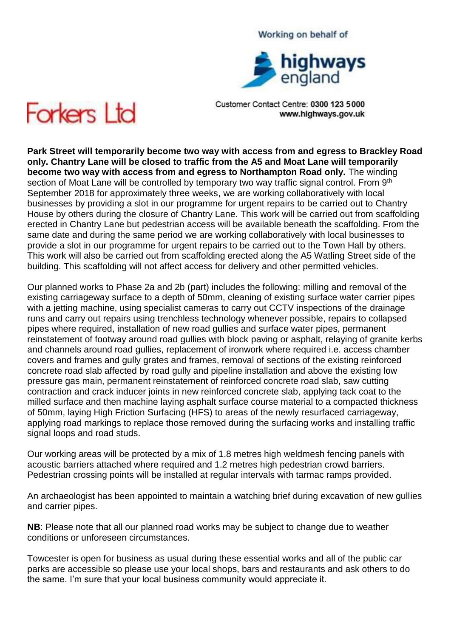# highways

Working on behalf of

Customer Contact Centre: 0300 123 5000 www.highways.gov.uk



**Park Street will temporarily become two way with access from and egress to Brackley Road only. Chantry Lane will be closed to traffic from the A5 and Moat Lane will temporarily become two way with access from and egress to Northampton Road only.** The winding section of Moat Lane will be controlled by temporary two way traffic signal control. From 9<sup>th</sup> September 2018 for approximately three weeks, we are working collaboratively with local businesses by providing a slot in our programme for urgent repairs to be carried out to Chantry House by others during the closure of Chantry Lane. This work will be carried out from scaffolding erected in Chantry Lane but pedestrian access will be available beneath the scaffolding. From the same date and during the same period we are working collaboratively with local businesses to provide a slot in our programme for urgent repairs to be carried out to the Town Hall by others. This work will also be carried out from scaffolding erected along the A5 Watling Street side of the building. This scaffolding will not affect access for delivery and other permitted vehicles.

Our planned works to Phase 2a and 2b (part) includes the following: milling and removal of the existing carriageway surface to a depth of 50mm, cleaning of existing surface water carrier pipes with a jetting machine, using specialist cameras to carry out CCTV inspections of the drainage runs and carry out repairs using trenchless technology whenever possible, repairs to collapsed pipes where required, installation of new road gullies and surface water pipes, permanent reinstatement of footway around road gullies with block paving or asphalt, relaying of granite kerbs and channels around road gullies, replacement of ironwork where required i.e. access chamber covers and frames and gully grates and frames, removal of sections of the existing reinforced concrete road slab affected by road gully and pipeline installation and above the existing low pressure gas main, permanent reinstatement of reinforced concrete road slab, saw cutting contraction and crack inducer joints in new reinforced concrete slab, applying tack coat to the milled surface and then machine laying asphalt surface course material to a compacted thickness of 50mm, laying High Friction Surfacing (HFS) to areas of the newly resurfaced carriageway, applying road markings to replace those removed during the surfacing works and installing traffic signal loops and road studs.

Our working areas will be protected by a mix of 1.8 metres high weldmesh fencing panels with acoustic barriers attached where required and 1.2 metres high pedestrian crowd barriers. Pedestrian crossing points will be installed at regular intervals with tarmac ramps provided.

An archaeologist has been appointed to maintain a watching brief during excavation of new gullies and carrier pipes.

**NB**: Please note that all our planned road works may be subject to change due to weather conditions or unforeseen circumstances.

Towcester is open for business as usual during these essential works and all of the public car parks are accessible so please use your local shops, bars and restaurants and ask others to do the same. I'm sure that your local business community would appreciate it.